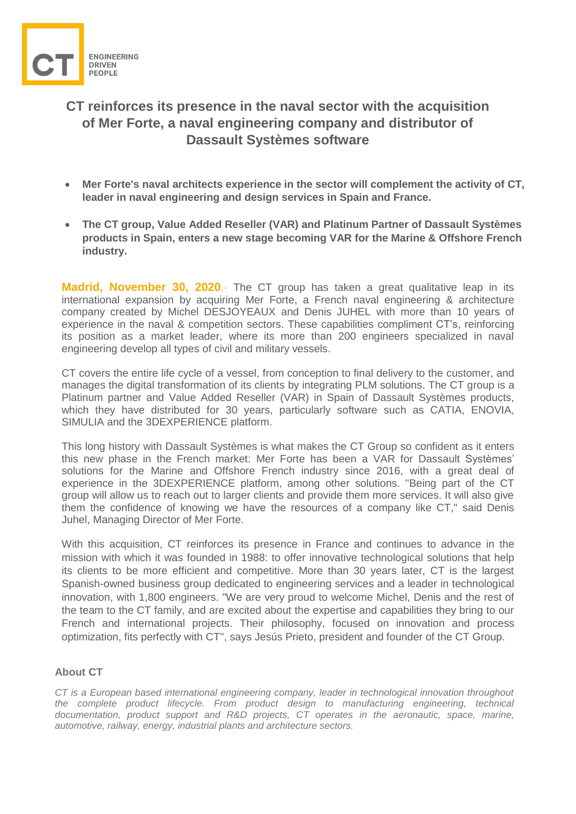

## **CT reinforces its presence in the naval sector with the acquisition of Mer Forte, a naval engineering company and distributor of Dassault Systèmes software**

- **Mer Forte's naval architects experience in the sector will complement the activity of CT, leader in naval engineering and design services in Spain and France.**
- **The CT group, Value Added Reseller (VAR) and Platinum Partner of Dassault Systèmes products in Spain, enters a new stage becoming VAR for the Marine & Offshore French industry.**

**Madrid, November 30, 2020,-** The CT group has taken a great qualitative leap in its international expansion by acquiring Mer Forte, a French naval engineering & architecture company created by Michel DESJOYEAUX and Denis JUHEL with more than 10 years of experience in the naval & competition sectors. These capabilities compliment CT's, reinforcing its position as a market leader, where its more than 200 engineers specialized in naval engineering develop all types of civil and military vessels.

CT covers the entire life cycle of a vessel, from conception to final delivery to the customer, and manages the digital transformation of its clients by integrating PLM solutions. The CT group is a Platinum partner and Value Added Reseller (VAR) in Spain of Dassault Systèmes products, which they have distributed for 30 years, particularly software such as CATIA, ENOVIA, SIMULIA and the 3DEXPERIENCE platform.

This long history with Dassault Systèmes is what makes the CT Group so confident as it enters this new phase in the French market: Mer Forte has been a VAR for Dassault Systèmes' solutions for the Marine and Offshore French industry since 2016, with a great deal of experience in the 3DEXPERIENCE platform, among other solutions. "Being part of the CT group will allow us to reach out to larger clients and provide them more services. It will also give them the confidence of knowing we have the resources of a company like CT," said Denis Juhel, Managing Director of Mer Forte.

With this acquisition, CT reinforces its presence in France and continues to advance in the mission with which it was founded in 1988: to offer innovative technological solutions that help its clients to be more efficient and competitive. More than 30 years later, CT is the largest Spanish-owned business group dedicated to engineering services and a leader in technological innovation, with 1,800 engineers. "We are very proud to welcome Michel, Denis and the rest of the team to the CT family, and are excited about the expertise and capabilities they bring to our French and international projects. Their philosophy, focused on innovation and process optimization, fits perfectly with CT", says Jesús Prieto, president and founder of the CT Group.

## **About [CT](http://www.ctingenieros.es/index.php/home)**

*CT is a European based international engineering company, leader in technological innovation throughout the complete product lifecycle. From product design to manufacturing engineering, technical documentation, product support and R&D projects, CT operates in the aeronautic, space, marine, automotive, railway, energy, industrial plants and architecture sectors.*